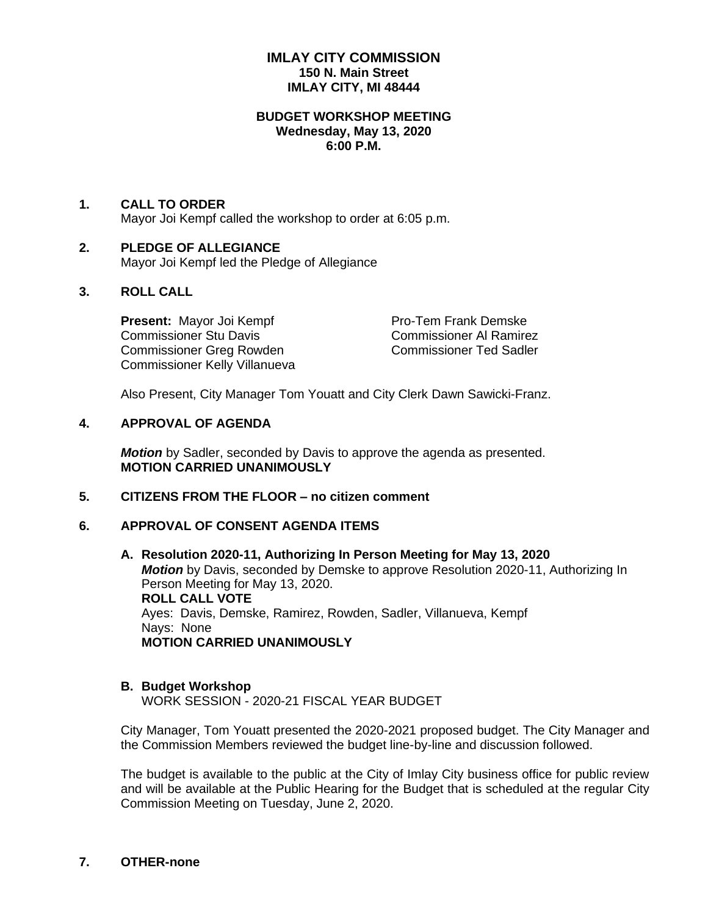# **IMLAY CITY COMMISSION 150 N. Main Street IMLAY CITY, MI 48444**

#### **BUDGET WORKSHOP MEETING Wednesday, May 13, 2020 6:00 P.M.**

#### **1. CALL TO ORDER**

Mayor Joi Kempf called the workshop to order at 6:05 p.m.

# **2. PLEDGE OF ALLEGIANCE**

Mayor Joi Kempf led the Pledge of Allegiance

# **3. ROLL CALL**

**Present:** Mayor Joi Kempf Pro-Tem Frank Demske Commissioner Stu Davis Commissioner Al Ramirez Commissioner Greg Rowden Commissioner Ted Sadler Commissioner Kelly Villanueva

Also Present, City Manager Tom Youatt and City Clerk Dawn Sawicki-Franz.

#### **4. APPROVAL OF AGENDA**

*Motion* by Sadler, seconded by Davis to approve the agenda as presented. **MOTION CARRIED UNANIMOUSLY**

# **5. CITIZENS FROM THE FLOOR – no citizen comment**

#### **6. APPROVAL OF CONSENT AGENDA ITEMS**

**A. Resolution 2020-11, Authorizing In Person Meeting for May 13, 2020** *Motion* by Davis, seconded by Demske to approve Resolution 2020-11, Authorizing In Person Meeting for May 13, 2020. **ROLL CALL VOTE** Ayes: Davis, Demske, Ramirez, Rowden, Sadler, Villanueva, Kempf Nays: None **MOTION CARRIED UNANIMOUSLY**

#### **B. Budget Workshop**

WORK SESSION - 2020-21 FISCAL YEAR BUDGET

City Manager, Tom Youatt presented the 2020-2021 proposed budget. The City Manager and the Commission Members reviewed the budget line-by-line and discussion followed.

The budget is available to the public at the City of Imlay City business office for public review and will be available at the Public Hearing for the Budget that is scheduled at the regular City Commission Meeting on Tuesday, June 2, 2020.

## **7. OTHER-none**